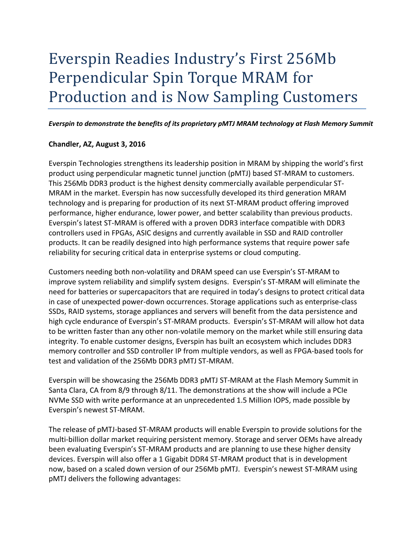# Everspin Readies Industry's First 256Mb Perpendicular Spin Torque MRAM for Production and is Now Sampling Customers

#### *Everspin to demonstrate the benefits of its proprietary pMTJ MRAM technology at Flash Memory Summit*

## **Chandler, AZ, August 3, 2016**

Everspin Technologies strengthens its leadership position in MRAM by shipping the world's first product using perpendicular magnetic tunnel junction (pMTJ) based ST-MRAM to customers. This 256Mb DDR3 product is the highest density commercially available perpendicular ST-MRAM in the market. Everspin has now successfully developed its third generation MRAM technology and is preparing for production of its next ST-MRAM product offering improved performance, higher endurance, lower power, and better scalability than previous products. Everspin's latest ST-MRAM is offered with a proven DDR3 interface compatible with DDR3 controllers used in FPGAs, ASIC designs and currently available in SSD and RAID controller products. It can be readily designed into high performance systems that require power safe reliability for securing critical data in enterprise systems or cloud computing.

Customers needing both non-volatility and DRAM speed can use Everspin's ST-MRAM to improve system reliability and simplify system designs. Everspin's ST-MRAM will eliminate the need for batteries or supercapacitors that are required in today's designs to protect critical data in case of unexpected power-down occurrences. Storage applications such as enterprise-class SSDs, RAID systems, storage appliances and servers will benefit from the data persistence and high cycle endurance of Everspin's ST-MRAM products. Everspin's ST-MRAM will allow hot data to be written faster than any other non-volatile memory on the market while still ensuring data integrity. To enable customer designs, Everspin has built an ecosystem which includes DDR3 memory controller and SSD controller IP from multiple vendors, as well as FPGA-based tools for test and validation of the 256Mb DDR3 pMTJ ST-MRAM.

Everspin will be showcasing the 256Mb DDR3 pMTJ ST-MRAM at the Flash Memory Summit in Santa Clara, CA from 8/9 through 8/11. The demonstrations at the show will include a PCIe NVMe SSD with write performance at an unprecedented 1.5 Million IOPS, made possible by Everspin's newest ST-MRAM.

The release of pMTJ-based ST-MRAM products will enable Everspin to provide solutions for the multi-billion dollar market requiring persistent memory. Storage and server OEMs have already been evaluating Everspin's ST-MRAM products and are planning to use these higher density devices. Everspin will also offer a 1 Gigabit DDR4 ST-MRAM product that is in development now, based on a scaled down version of our 256Mb pMTJ. Everspin's newest ST-MRAM using pMTJ delivers the following advantages: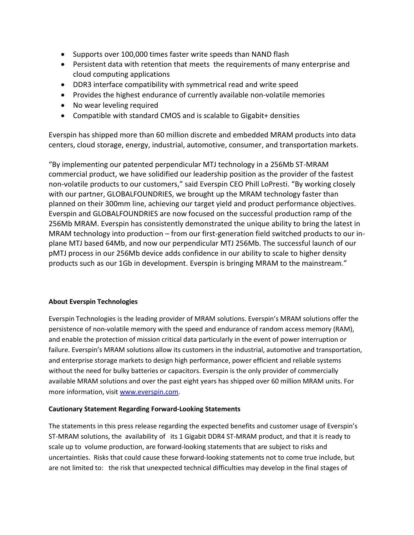- Supports over 100,000 times faster write speeds than NAND flash
- Persistent data with retention that meets the requirements of many enterprise and cloud computing applications
- DDR3 interface compatibility with symmetrical read and write speed
- Provides the highest endurance of currently available non-volatile memories
- No wear leveling required
- Compatible with standard CMOS and is scalable to Gigabit+ densities

Everspin has shipped more than 60 million discrete and embedded MRAM products into data centers, cloud storage, energy, industrial, automotive, consumer, and transportation markets.

"By implementing our patented perpendicular MTJ technology in a 256Mb ST-MRAM commercial product, we have solidified our leadership position as the provider of the fastest non-volatile products to our customers," said Everspin CEO Phill LoPresti. "By working closely with our partner, GLOBALFOUNDRIES, we brought up the MRAM technology faster than planned on their 300mm line, achieving our target yield and product performance objectives. Everspin and GLOBALFOUNDRIES are now focused on the successful production ramp of the 256Mb MRAM. Everspin has consistently demonstrated the unique ability to bring the latest in MRAM technology into production – from our first-generation field switched products to our inplane MTJ based 64Mb, and now our perpendicular MTJ 256Mb. The successful launch of our pMTJ process in our 256Mb device adds confidence in our ability to scale to higher density products such as our 1Gb in development. Everspin is bringing MRAM to the mainstream."

## **About Everspin Technologies**

Everspin Technologies is the leading provider of MRAM solutions. Everspin's MRAM solutions offer the persistence of non-volatile memory with the speed and endurance of random access memory (RAM), and enable the protection of mission critical data particularly in the event of power interruption or failure. Everspin's MRAM solutions allow its customers in the industrial, automotive and transportation, and enterprise storage markets to design high performance, power efficient and reliable systems without the need for bulky batteries or capacitors. Everspin is the only provider of commercially available MRAM solutions and over the past eight years has shipped over 60 million MRAM units. For more information, visit [www.everspin.com.](http://www.everspin.com/)

#### **Cautionary Statement Regarding Forward-Looking Statements**

The statements in this press release regarding the expected benefits and customer usage of Everspin's ST-MRAM solutions, the availability of its 1 Gigabit DDR4 ST-MRAM product, and that it is ready to scale up to volume production, are forward-looking statements that are subject to risks and uncertainties. Risks that could cause these forward-looking statements not to come true include, but are not limited to: the risk that unexpected technical difficulties may develop in the final stages of